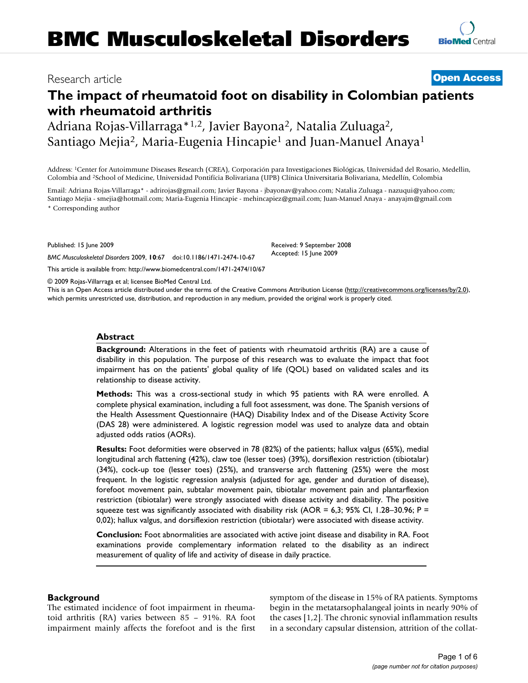# Research article **[Open Access](http://www.biomedcentral.com/info/about/charter/)**

# **The impact of rheumatoid foot on disability in Colombian patients with rheumatoid arthritis**

Adriana Rojas-Villarraga\*1,2, Javier Bayona2, Natalia Zuluaga2, Santiago Mejia2, Maria-Eugenia Hincapie1 and Juan-Manuel Anaya1

Address: 1Center for Autoimmune Diseases Research (CREA), Corporación para Investigaciones Biológicas, Universidad del Rosario, Medellin, Colombia and 2School of Medicine, Universidad Pontifícia Bolivariana (UPB) Clínica Universitaria Bolivariana, Medellín, Colombia

Email: Adriana Rojas-Villarraga\* - adrirojas@gmail.com; Javier Bayona - jbayonav@yahoo.com; Natalia Zuluaga - nazuqui@yahoo.com; Santiago Mejia - smejia@hotmail.com; Maria-Eugenia Hincapie - mehincapiez@gmail.com; Juan-Manuel Anaya - anayajm@gmail.com \* Corresponding author

Published: 15 June 2009

*BMC Musculoskeletal Disorders* 2009, **10**:67 doi:10.1186/1471-2474-10-67

[This article is available from: http://www.biomedcentral.com/1471-2474/10/67](http://www.biomedcentral.com/1471-2474/10/67)

© 2009 Rojas-Villarraga et al; licensee BioMed Central Ltd.

This is an Open Access article distributed under the terms of the Creative Commons Attribution License [\(http://creativecommons.org/licenses/by/2.0\)](http://creativecommons.org/licenses/by/2.0), which permits unrestricted use, distribution, and reproduction in any medium, provided the original work is properly cited.

#### **Abstract**

**Background:** Alterations in the feet of patients with rheumatoid arthritis (RA) are a cause of disability in this population. The purpose of this research was to evaluate the impact that foot impairment has on the patients' global quality of life (QOL) based on validated scales and its relationship to disease activity.

**Methods:** This was a cross-sectional study in which 95 patients with RA were enrolled. A complete physical examination, including a full foot assessment, was done. The Spanish versions of the Health Assessment Questionnaire (HAQ) Disability Index and of the Disease Activity Score (DAS 28) were administered. A logistic regression model was used to analyze data and obtain adjusted odds ratios (AORs).

**Results:** Foot deformities were observed in 78 (82%) of the patients; hallux valgus (65%), medial longitudinal arch flattening (42%), claw toe (lesser toes) (39%), dorsiflexion restriction (tibiotalar) (34%), cock-up toe (lesser toes) (25%), and transverse arch flattening (25%) were the most frequent. In the logistic regression analysis (adjusted for age, gender and duration of disease), forefoot movement pain, subtalar movement pain, tibiotalar movement pain and plantarflexion restriction (tibiotalar) were strongly associated with disease activity and disability. The positive squeeze test was significantly associated with disability risk (AOR = 6,3; 95% CI, 1.28–30.96; P = 0,02); hallux valgus, and dorsiflexion restriction (tibiotalar) were associated with disease activity.

**Conclusion:** Foot abnormalities are associated with active joint disease and disability in RA. Foot examinations provide complementary information related to the disability as an indirect measurement of quality of life and activity of disease in daily practice.

#### **Background**

The estimated incidence of foot impairment in rheumatoid arthritis (RA) varies between 85 – 91%. RA foot impairment mainly affects the forefoot and is the first symptom of the disease in 15% of RA patients. Symptoms begin in the metatarsophalangeal joints in nearly 90% of the cases [1,2]. The chronic synovial inflammation results in a secondary capsular distension, attrition of the collat-

Accepted: 15 June 2009

Received: 9 September 2008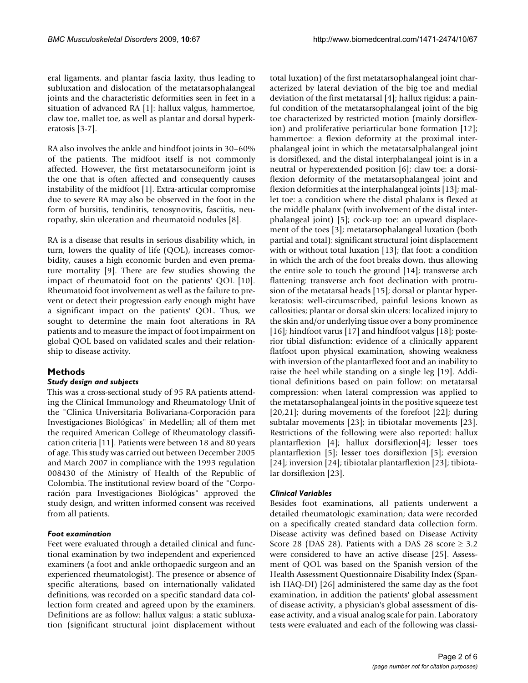eral ligaments, and plantar fascia laxity, thus leading to subluxation and dislocation of the metatarsophalangeal joints and the characteristic deformities seen in feet in a situation of advanced RA [1]: hallux valgus, hammertoe, claw toe, mallet toe, as well as plantar and dorsal hyperkeratosis [3-7].

RA also involves the ankle and hindfoot joints in 30–60% of the patients. The midfoot itself is not commonly affected. However, the first metatarsocuneiform joint is the one that is often affected and consequently causes instability of the midfoot [1]. Extra-articular compromise due to severe RA may also be observed in the foot in the form of bursitis, tendinitis, tenosynovitis, fasciitis, neuropathy, skin ulceration and rheumatoid nodules [8].

RA is a disease that results in serious disability which, in turn, lowers the quality of life (QOL), increases comorbidity, causes a high economic burden and even premature mortality [9]. There are few studies showing the impact of rheumatoid foot on the patients' QOL [10]. Rheumatoid foot involvement as well as the failure to prevent or detect their progression early enough might have a significant impact on the patients' QOL. Thus, we sought to determine the main foot alterations in RA patients and to measure the impact of foot impairment on global QOL based on validated scales and their relationship to disease activity.

# **Methods**

# *Study design and subjects*

This was a cross-sectional study of 95 RA patients attending the Clinical Immunology and Rheumatology Unit of the "Clinica Universitaria Bolivariana-Corporación para Investigaciones Biológicas" in Medellin; all of them met the required American College of Rheumatology classification criteria [11]. Patients were between 18 and 80 years of age. This study was carried out between December 2005 and March 2007 in compliance with the 1993 regulation 008430 of the Ministry of Health of the Republic of Colombia. The institutional review board of the "Corporación para Investigaciones Biológicas" approved the study design, and written informed consent was received from all patients.

# *Foot examination*

Feet were evaluated through a detailed clinical and functional examination by two independent and experienced examiners (a foot and ankle orthopaedic surgeon and an experienced rheumatologist). The presence or absence of specific alterations, based on internationally validated definitions, was recorded on a specific standard data collection form created and agreed upon by the examiners. Definitions are as follow: hallux valgus: a static subluxation (significant structural joint displacement without

total luxation) of the first metatarsophalangeal joint characterized by lateral deviation of the big toe and medial deviation of the first metatarsal [4]; hallux rigidus: a painful condition of the metatarsophalangeal joint of the big toe characterized by restricted motion (mainly dorsiflexion) and proliferative periarticular bone formation [12]; hammertoe: a flexion deformity at the proximal interphalangeal joint in which the metatarsalphalangeal joint is dorsiflexed, and the distal interphalangeal joint is in a neutral or hyperextended position [6]; claw toe: a dorsiflexion deformity of the metatarsophalangeal joint and flexion deformities at the interphalangeal joints [13]; mallet toe: a condition where the distal phalanx is flexed at the middle phalanx (with involvement of the distal interphalangeal joint) [5]; cock-up toe: an upward displacement of the toes [3]; metatarsophalangeal luxation (both partial and total): significant structural joint displacement with or without total luxation [13]; flat foot: a condition in which the arch of the foot breaks down, thus allowing the entire sole to touch the ground [14]; transverse arch flattening: transverse arch foot declination with protrusion of the metatarsal heads [15]; dorsal or plantar hyperkeratosis: well-circumscribed, painful lesions known as callosities; plantar or dorsal skin ulcers: localized injury to the skin and/or underlying tissue over a bony prominence [16]; hindfoot varus [17] and hindfoot valgus [18]; posterior tibial disfunction: evidence of a clinically apparent flatfoot upon physical examination, showing weakness with inversion of the plantarflexed foot and an inability to raise the heel while standing on a single leg [19]. Additional definitions based on pain follow: on metatarsal compression: when lateral compression was applied to the metatarsophalangeal joints in the positive squeeze test [20,21]; during movements of the forefoot [22]; during subtalar movements [23]; in tibiotalar movements [23]. Restrictions of the following were also reported: hallux plantarflexion [4]; hallux dorsiflexion[4]; lesser toes plantarflexion [5]; lesser toes dorsiflexion [5]; eversion [24]; inversion [24]; tibiotalar plantarflexion [23]; tibiotalar dorsiflexion [23].

# *Clinical Variables*

Besides foot examinations, all patients underwent a detailed rheumatologic examination; data were recorded on a specifically created standard data collection form. Disease activity was defined based on Disease Activity Score 28 (DAS 28). Patients with a DAS 28 score  $\geq 3.2$ were considered to have an active disease [25]. Assessment of QOL was based on the Spanish version of the Health Assessment Questionnaire Disability Index (Spanish HAQ-DI) [26] administered the same day as the foot examination, in addition the patients' global assessment of disease activity, a physician's global assessment of disease activity, and a visual analog scale for pain. Laboratory tests were evaluated and each of the following was classi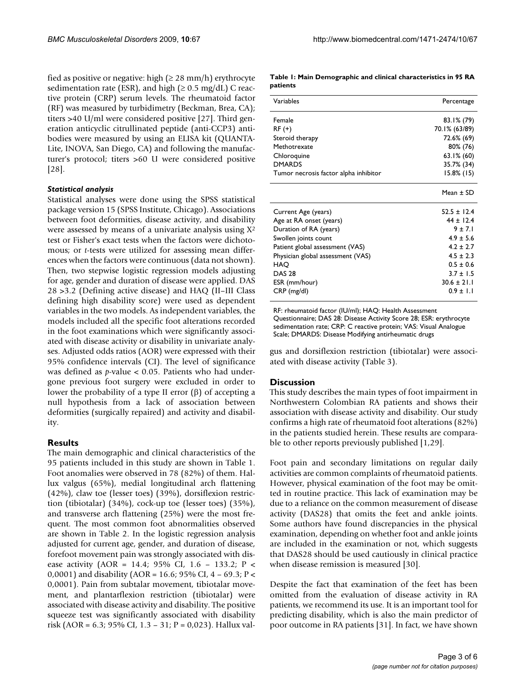fied as positive or negative: high ( $\geq 28$  mm/h) erythrocyte sedimentation rate (ESR), and high ( $\geq 0.5$  mg/dL) C reactive protein (CRP) serum levels. The rheumatoid factor (RF) was measured by turbidimetry (Beckman, Brea, CA); titers >40 U/ml were considered positive [27]. Third generation anticyclic citrullinated peptide (anti-CCP3) antibodies were measured by using an ELISA kit (QUANTA-Lite, INOVA, San Diego, CA) and following the manufacturer's protocol; titers >60 U were considered positive [28].

#### *Statistical analysis*

Statistical analyses were done using the SPSS statistical package version 15 (SPSS Institute, Chicago). Associations between foot deformities, disease activity, and disability were assessed by means of a univariate analysis using X2 test or Fisher's exact tests when the factors were dichotomous; or *t*-tests were utilized for assessing mean differences when the factors were continuous (data not shown). Then, two stepwise logistic regression models adjusting for age, gender and duration of disease were applied. DAS 28 >3.2 (Defining active disease) and HAQ (II–III Class defining high disability score) were used as dependent variables in the two models. As independent variables, the models included all the specific foot alterations recorded in the foot examinations which were significantly associated with disease activity or disability in univariate analyses. Adjusted odds ratios (AOR) were expressed with their 95% confidence intervals (CI). The level of significance was defined as *p*-value < 0.05. Patients who had undergone previous foot surgery were excluded in order to lower the probability of a type II error (β) of accepting a null hypothesis from a lack of association between deformities (surgically repaired) and activity and disability.

#### **Results**

The main demographic and clinical characteristics of the 95 patients included in this study are shown in Table 1. Foot anomalies were observed in 78 (82%) of them. Hallux valgus (65%), medial longitudinal arch flattening (42%), claw toe (lesser toes) (39%), dorsiflexion restriction (tibiotalar) (34%), cock-up toe (lesser toes) (35%), and transverse arch flattening (25%) were the most frequent. The most common foot abnormalities observed are shown in Table 2. In the logistic regression analysis adjusted for current age, gender, and duration of disease, forefoot movement pain was strongly associated with disease activity (AOR = 14.4; 95% CI, 1.6 – 133.2; P < 0,0001) and disability (AOR = 16.6; 95% CI, 4 – 69.3; P < 0,0001). Pain from subtalar movement, tibiotalar movement, and plantarflexion restriction (tibiotalar) were associated with disease activity and disability. The positive squeeze test was significantly associated with disability risk (AOR = 6.3; 95% CI, 1.3 – 31; P = 0,023). Hallux val-

**Table 1: Main Demographic and clinical characteristics in 95 RA patients**

| Variables                             | Percentage    |
|---------------------------------------|---------------|
| Female                                | $83.1\%$ (79) |
| RF (+)                                | 70.1% (63/89) |
| Steroid therapy                       | 72.6% (69)    |
| Methotrexate                          | 80% (76)      |
| Chloroquine                           | $63.1\%$ (60) |
| <b>DMARDS</b>                         | 35.7% (34)    |
| Tumor necrosis factor alpha inhibitor | $15.8\%$ (15) |
|                                       | Mean $\pm$ SD |
| Current Age (years)                   | $52.5 + 12.4$ |
| Age at RA onset (years)               | $44 \pm 12.4$ |
| Duration of RA (years)                | $9 + 7.1$     |
| Swollen joints count                  | $4.9 + 5.6$   |
| Patient global assessment (VAS)       | $4.2 \pm 2.7$ |
| Physician global assessment (VAS)     | $4.5 \pm 2.3$ |
| HAO                                   | $0.5 + 0.6$   |
| <b>DAS 28</b>                         | $3.7 \pm 1.5$ |
| ESR (mm/hour)                         | $30.6 + 21.1$ |
| CRP (mg/dl)                           | $0.9 \pm 1.1$ |

RF: rheumatoid factor (IU/ml); HAQ: Health Assessment Questionnaire; DAS 28: Disease Activity Score 28; ESR: erythrocyte sedimentation rate; CRP: C reactive protein; VAS: Visual Analogue Scale; DMARDS: Disease Modifying antirheumatic drugs

gus and dorsiflexion restriction (tibiotalar) were associated with disease activity (Table 3).

#### **Discussion**

This study describes the main types of foot impairment in Northwestern Colombian RA patients and shows their association with disease activity and disability. Our study confirms a high rate of rheumatoid foot alterations (82%) in the patients studied herein. These results are comparable to other reports previously published [1,29].

Foot pain and secondary limitations on regular daily activities are common complaints of rheumatoid patients. However, physical examination of the foot may be omitted in routine practice. This lack of examination may be due to a reliance on the common measurement of disease activity (DAS28) that omits the feet and ankle joints. Some authors have found discrepancies in the physical examination, depending on whether foot and ankle joints are included in the examination or not, which suggests that DAS28 should be used cautiously in clinical practice when disease remission is measured [30].

Despite the fact that examination of the feet has been omitted from the evaluation of disease activity in RA patients, we recommend its use. It is an important tool for predicting disability, which is also the main predictor of poor outcome in RA patients [31]. In fact, we have shown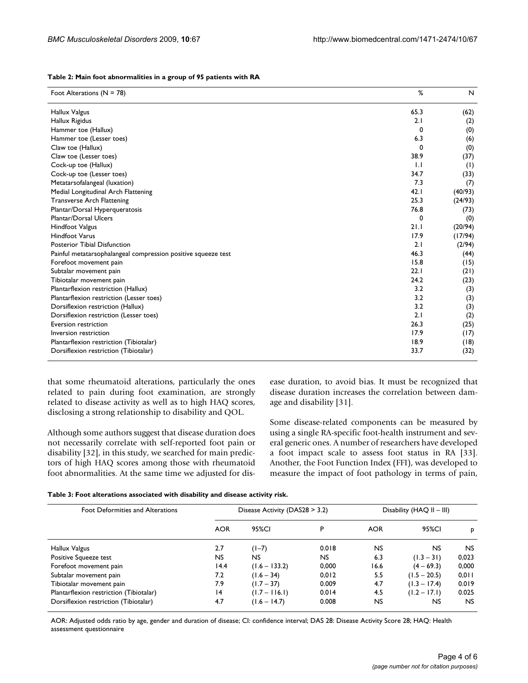| Foot Alterations ( $N = 78$ )                                 | %    | N       |
|---------------------------------------------------------------|------|---------|
| Hallux Valgus                                                 | 65.3 | (62)    |
| Hallux Rigidus                                                | 2.1  | (2)     |
| Hammer toe (Hallux)                                           | 0    | (0)     |
| Hammer toe (Lesser toes)                                      | 6.3  | (6)     |
| Claw toe (Hallux)                                             | 0    | (0)     |
| Claw toe (Lesser toes)                                        | 38.9 | (37)    |
| Cock-up toe (Hallux)                                          | 1.1  | (1)     |
| Cock-up toe (Lesser toes)                                     | 34.7 | (33)    |
| Metatarsofalangeal (luxation)                                 | 7.3  | (7)     |
| Medial Longitudinal Arch Flattening                           | 42.1 | (40/93) |
| <b>Transverse Arch Flattening</b>                             | 25.3 | (24/93) |
| Plantar/Dorsal Hyperqueratosis                                | 76.8 | (73)    |
| Plantar/Dorsal Ulcers                                         | 0    | (0)     |
| <b>Hindfoot Valgus</b>                                        | 21.1 | (20/94) |
| <b>Hindfoot Varus</b>                                         | 17.9 | (17/94) |
| Posterior Tibial Disfunction                                  | 2.1  | (2/94)  |
| Painful metatarsophalangeal compression positive squeeze test | 46.3 | (44)    |
| Forefoot movement pain                                        | 15.8 | (15)    |
| Subtalar movement pain                                        | 22.1 | (21)    |
| Tibiotalar movement pain                                      | 24.2 | (23)    |
| Plantarflexion restriction (Hallux)                           | 3.2  | (3)     |
| Plantarflexion restriction (Lesser toes)                      | 3.2  | (3)     |
| Dorsiflexion restriction (Hallux)                             | 3.2  | (3)     |
| Dorsiflexion restriction (Lesser toes)                        | 2.1  | (2)     |
| Eversion restriction                                          | 26.3 | (25)    |
| Inversion restriction                                         | 17.9 | (17)    |
| Plantarflexion restriction (Tibiotalar)                       | 18.9 | (18)    |
| Dorsiflexion restriction (Tibiotalar)                         | 33.7 | (32)    |

| Table 2: Main foot abnormalities in a group of 95 patients with RA |  |
|--------------------------------------------------------------------|--|
|--------------------------------------------------------------------|--|

that some rheumatoid alterations, particularly the ones related to pain during foot examination, are strongly related to disease activity as well as to high HAQ scores, disclosing a strong relationship to disability and QOL.

Although some authors suggest that disease duration does not necessarily correlate with self-reported foot pain or disability [32], in this study, we searched for main predictors of high HAQ scores among those with rheumatoid foot abnormalities. At the same time we adjusted for disease duration, to avoid bias. It must be recognized that disease duration increases the correlation between damage and disability [31].

Some disease-related components can be measured by using a single RA-specific foot-health instrument and several generic ones. A number of researchers have developed a foot impact scale to assess foot status in RA [33]. Another, the Foot Function Index (FFI), was developed to measure the impact of foot pathology in terms of pain,

| Table 3: Foot alterations associated with disability and disease activity risk. |  |  |  |
|---------------------------------------------------------------------------------|--|--|--|
|---------------------------------------------------------------------------------|--|--|--|

| Foot Deformities and Alterations        | Disease Activity ( $DAS28 > 3.2$ ) |                 |       | Disability ( $HAQ$ II – III) |                |       |
|-----------------------------------------|------------------------------------|-----------------|-------|------------------------------|----------------|-------|
|                                         | <b>AOR</b>                         | 95%CI           | P     | <b>AOR</b>                   | 95%CI          | P     |
| Hallux Valgus                           | 2.7                                | $(1-7)$         | 0.018 | <b>NS</b>                    | <b>NS</b>      | NS.   |
| Positive Squeeze test                   | NS.                                | NS              | NS.   | 6.3                          | $(1.3 - 31)$   | 0.023 |
| Forefoot movement pain                  | 14.4                               | $(1.6 - 133.2)$ | 0,000 | 16.6                         | $(4 - 69.3)$   | 0,000 |
| Subtalar movement pain                  | 7.2                                | $(1.6 - 34)$    | 0,012 | 5.5                          | $(1.5 - 20.5)$ | 0,011 |
| Tibiotalar movement pain                | 7.9                                | $(1.7 - 37)$    | 0.009 | 4.7                          | $(1.3 - 17.4)$ | 0.019 |
| Plantarflexion restriction (Tibiotalar) | $\overline{14}$                    | $(1.7 - 116.1)$ | 0.014 | 4.5                          | $(1.2 - 17.1)$ | 0.025 |
| Dorsiflexion restriction (Tibiotalar)   | 4.7                                | $(1.6 - 14.7)$  | 0.008 | <b>NS</b>                    | NS             | NS.   |

AOR: Adjusted odds ratio by age, gender and duration of disease; CI: confidence interval; DAS 28: Disease Activity Score 28; HAQ: Health assessment questionnaire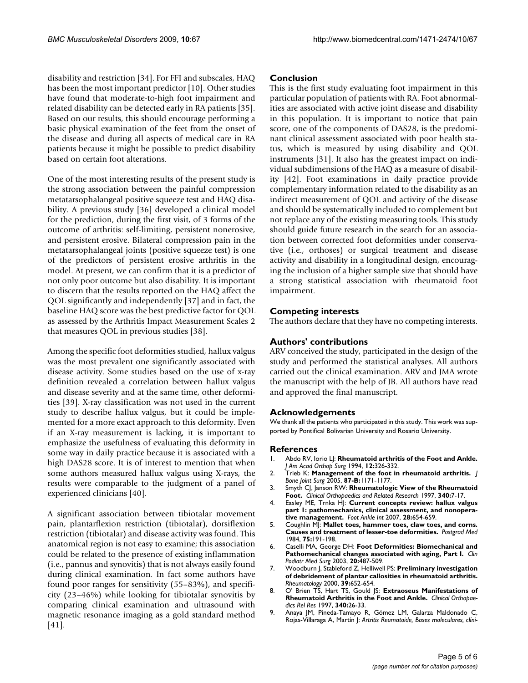disability and restriction [34]. For FFI and subscales, HAQ has been the most important predictor [10]. Other studies have found that moderate-to-high foot impairment and related disability can be detected early in RA patients [35]. Based on our results, this should encourage performing a basic physical examination of the feet from the onset of the disease and during all aspects of medical care in RA patients because it might be possible to predict disability based on certain foot alterations.

One of the most interesting results of the present study is the strong association between the painful compression metatarsophalangeal positive squeeze test and HAQ disability. A previous study [36] developed a clinical model for the prediction, during the first visit, of 3 forms of the outcome of arthritis: self-limiting, persistent nonerosive, and persistent erosive. Bilateral compression pain in the metatarsophalangeal joints (positive squeeze test) is one of the predictors of persistent erosive arthritis in the model. At present, we can confirm that it is a predictor of not only poor outcome but also disability. It is important to discern that the results reported on the HAQ affect the QOL significantly and independently [37] and in fact, the baseline HAQ score was the best predictive factor for QOL as assessed by the Arthritis Impact Measurement Scales 2 that measures QOL in previous studies [38].

Among the specific foot deformities studied, hallux valgus was the most prevalent one significantly associated with disease activity. Some studies based on the use of x-ray definition revealed a correlation between hallux valgus and disease severity and at the same time, other deformities [39]. X-ray classification was not used in the current study to describe hallux valgus, but it could be implemented for a more exact approach to this deformity. Even if an X-ray measurement is lacking, it is important to emphasize the usefulness of evaluating this deformity in some way in daily practice because it is associated with a high DAS28 score. It is of interest to mention that when some authors measured hallux valgus using X-rays, the results were comparable to the judgment of a panel of experienced clinicians [40].

A significant association between tibiotalar movement pain, plantarflexion restriction (tibiotalar), dorsiflexion restriction (tibiotalar) and disease activity was found. This anatomical region is not easy to examine; this association could be related to the presence of existing inflammation (i.e., pannus and synovitis) that is not always easily found during clinical examination. In fact some authors have found poor ranges for sensitivity (55–83%), and specificity (23–46%) while looking for tibiotalar synovitis by comparing clinical examination and ultrasound with magnetic resonance imaging as a gold standard method [41].

#### **Conclusion**

This is the first study evaluating foot impairment in this particular population of patients with RA. Foot abnormalities are associated with active joint disease and disability in this population. It is important to notice that pain score, one of the components of DAS28, is the predominant clinical assessment associated with poor health status, which is measured by using disability and QOL instruments [31]. It also has the greatest impact on individual subdimensions of the HAQ as a measure of disability [42]. Foot examinations in daily practice provide complementary information related to the disability as an indirect measurement of QOL and activity of the disease and should be systematically included to complement but not replace any of the existing measuring tools. This study should guide future research in the search for an association between corrected foot deformities under conservative (i.e., orthoses) or surgical treatment and disease activity and disability in a longitudinal design, encouraging the inclusion of a higher sample size that should have a strong statistical association with rheumatoid foot impairment.

#### **Competing interests**

The authors declare that they have no competing interests.

#### **Authors' contributions**

ARV conceived the study, participated in the design of the study and performed the statistical analyses. All authors carried out the clinical examination. ARV and JMA wrote the manuscript with the help of JB. All authors have read and approved the final manuscript.

#### **Acknowledgements**

We thank all the patients who participated in this study. This work was supported by Pontifical Bolivarian University and Rosario University.

#### **References**

- 1. Abdo RV, Iorio LJ: **Rheumatoid arthritis of the Foot and Ankle.** *J Am Acad Orthop Surg* 1994, **12:**326-332.
- 2. Trieb K: **Management of the foot in rheumatoid arthritis.** *J Bone Joint Surg* 2005, **87-B:**1171-1177.
- 3. Smyth CJ, Janson RW: **Rheumatologic View of the Rheumatoid Foot.** *Clinical Orthopaedics and Related Research* 1997, **340:**7-17.
- 4. Easley ME, Trnka HJ: **[Current concepts review: hallux valgus](http://www.ncbi.nlm.nih.gov/entrez/query.fcgi?cmd=Retrieve&db=PubMed&dopt=Abstract&list_uids=17559782) [part 1: pathomechanics, clinical assessment, and nonopera](http://www.ncbi.nlm.nih.gov/entrez/query.fcgi?cmd=Retrieve&db=PubMed&dopt=Abstract&list_uids=17559782)[tive management.](http://www.ncbi.nlm.nih.gov/entrez/query.fcgi?cmd=Retrieve&db=PubMed&dopt=Abstract&list_uids=17559782)** *Foot Ankle Int* 2007, **28:**654-659.
- 5. Coughlin MJ: **[Mallet toes, hammer toes, claw toes, and corns.](http://www.ncbi.nlm.nih.gov/entrez/query.fcgi?cmd=Retrieve&db=PubMed&dopt=Abstract&list_uids=6709528) [Causes and treatment of lesser-toe deformities.](http://www.ncbi.nlm.nih.gov/entrez/query.fcgi?cmd=Retrieve&db=PubMed&dopt=Abstract&list_uids=6709528)** *Postgrad Med* 1984, **75:**191-198.
- 6. Caselli MA, George DH: **[Foot Deformities: Biomechanical and](http://www.ncbi.nlm.nih.gov/entrez/query.fcgi?cmd=Retrieve&db=PubMed&dopt=Abstract&list_uids=12952050) [Pathomechanical changes associated with aging, Part I.](http://www.ncbi.nlm.nih.gov/entrez/query.fcgi?cmd=Retrieve&db=PubMed&dopt=Abstract&list_uids=12952050)** *Clin Podiatr Med Surg* 2003, **20:**487-509.
- 7. Woodburn J, Stableford Z, Helliwell PS: **[Preliminary investigation](http://www.ncbi.nlm.nih.gov/entrez/query.fcgi?cmd=Retrieve&db=PubMed&dopt=Abstract&list_uids=10888711) [of debridement of plantar callosities in rheumatoid arthritis.](http://www.ncbi.nlm.nih.gov/entrez/query.fcgi?cmd=Retrieve&db=PubMed&dopt=Abstract&list_uids=10888711)** *Rheumatology* 2000, **39:**652-654.
- 8. O' Brien TS, Hart TS, Gould JS: **Extraoseus Manifestations of Rheumatoid Arthritis in the Foot and Ankle.** *Clinical Orthopaedics Rel Res* 1997, **340:**26-33.
- 9. Anaya JM, Pineda-Tamayo R, Gómez LM, Galarza Maldonado C, Rojas-Villaraga A, Martín J: *Artritis Reumatoide, Bases moleculares, clíni-*